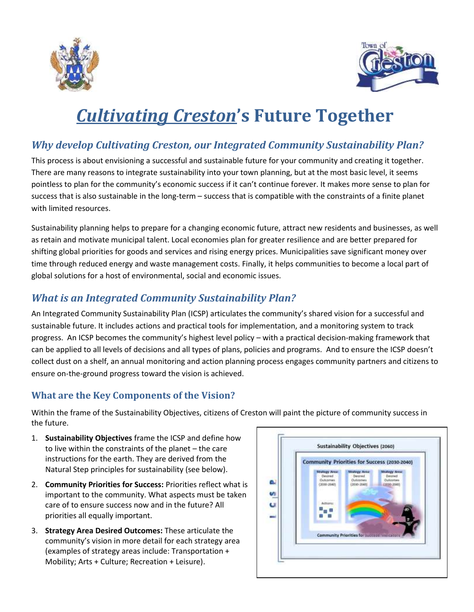



# *Cultivating Creston***'s Future Together**

### *Why develop Cultivating Creston, our Integrated Community Sustainability Plan?*

This process is about envisioning a successful and sustainable future for your community and creating it together. There are many reasons to integrate sustainability into your town planning, but at the most basic level, it seems pointless to plan for the community's economic success if it can't continue forever. It makes more sense to plan for success that is also sustainable in the long-term – success that is compatible with the constraints of a finite planet with limited resources.

Sustainability planning helps to prepare for a changing economic future, attract new residents and businesses, as well as retain and motivate municipal talent. Local economies plan for greater resilience and are better prepared for shifting global priorities for goods and services and rising energy prices. Municipalities save significant money over time through reduced energy and waste management costs. Finally, it helps communities to become a local part of global solutions for a host of environmental, social and economic issues.

#### *What is an Integrated Community Sustainability Plan?*

An Integrated Community Sustainability Plan (ICSP) articulates the community's shared vision for a successful and sustainable future. It includes actions and practical tools for implementation, and a monitoring system to track progress. An ICSP becomes the community's highest level policy – with a practical decision-making framework that can be applied to all levels of decisions and all types of plans, policies and programs. And to ensure the ICSP doesn't collect dust on a shelf, an annual monitoring and action planning process engages community partners and citizens to ensure on-the-ground progress toward the vision is achieved.

#### **What are the Key Components of the Vision?**

Within the frame of the Sustainability Objectives, citizens of Creston will paint the picture of community success in the future.

- 1. **Sustainability Objectives** frame the ICSP and define how to live within the constraints of the planet – the care instructions for the earth. They are derived from the Natural Step principles for sustainability (see below).
- 2. **Community Priorities for Success:** Priorities reflect what is important to the community. What aspects must be taken care of to ensure success now and in the future? All priorities all equally important.
- 3. **Strategy Area Desired Outcomes:** These articulate the community's vision in more detail for each strategy area (examples of strategy areas include: Transportation + Mobility; Arts + Culture; Recreation + Leisure).